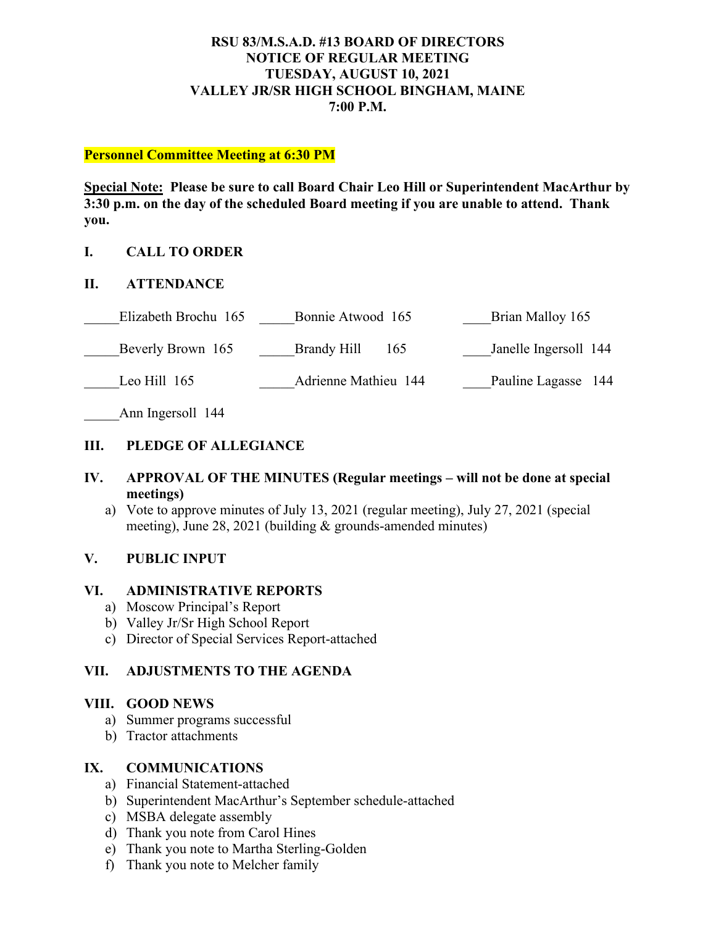## **RSU 83/M.S.A.D. #13 BOARD OF DIRECTORS NOTICE OF REGULAR MEETING TUESDAY, AUGUST 10, 2021 VALLEY JR/SR HIGH SCHOOL BINGHAM, MAINE 7:00 P.M.**

#### **Personnel Committee Meeting at 6:30 PM**

**Special Note: Please be sure to call Board Chair Leo Hill or Superintendent MacArthur by 3:30 p.m. on the day of the scheduled Board meeting if you are unable to attend. Thank you.**

## **I. CALL TO ORDER**

## **II. ATTENDANCE**

| Elizabeth Brochu 165 | Bonnie Atwood 165           | Brian Malloy 165      |
|----------------------|-----------------------------|-----------------------|
| Beverly Brown 165    | Brandy Hill<br>165          | Janelle Ingersoll 144 |
| Leo Hill $165$       | <b>Adrienne Mathieu 144</b> | Pauline Lagasse 144   |

Ann Ingersoll 144

## **III. PLEDGE OF ALLEGIANCE**

## **IV. APPROVAL OF THE MINUTES (Regular meetings – will not be done at special meetings)**

a) Vote to approve minutes of July 13, 2021 (regular meeting), July 27, 2021 (special meeting), June 28, 2021 (building & grounds-amended minutes)

## **V. PUBLIC INPUT**

#### **VI. ADMINISTRATIVE REPORTS**

- a) Moscow Principal's Report
- b) Valley Jr/Sr High School Report
- c) Director of Special Services Report-attached

## **VII. ADJUSTMENTS TO THE AGENDA**

## **VIII. GOOD NEWS**

- a) Summer programs successful
- b) Tractor attachments

### **IX. COMMUNICATIONS**

- a) Financial Statement-attached
- b) Superintendent MacArthur's September schedule-attached
- c) MSBA delegate assembly
- d) Thank you note from Carol Hines
- e) Thank you note to Martha Sterling-Golden
- f) Thank you note to Melcher family